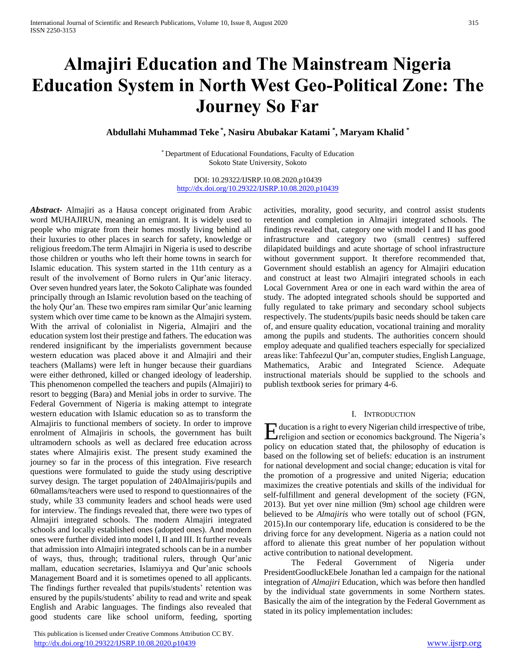# **Almajiri Education and The Mainstream Nigeria Education System in North West Geo-Political Zone: The Journey So Far**

**Abdullahi Muhammad Teke \* , Nasiru Abubakar Katami \* , Maryam Khalid \***

\* Department of Educational Foundations, Faculty of Education Sokoto State University, Sokoto

DOI: 10.29322/IJSRP.10.08.2020.p10439 <http://dx.doi.org/10.29322/IJSRP.10.08.2020.p10439>

*Abstract***-** Almajiri as a Hausa concept originated from Arabic word MUHAJIRUN, meaning an emigrant. It is widely used to people who migrate from their homes mostly living behind all their luxuries to other places in search for safety, knowledge or religious freedom.The term Almajiri in Nigeria is used to describe those children or youths who left their home towns in search for Islamic education. This system started in the 11th century as a result of the involvement of Borno rulers in Qur'anic literacy. Over seven hundred years later, the Sokoto Caliphate was founded principally through an Islamic revolution based on the teaching of the holy Qur'an. These two empires ram similar Qur'anic learning system which over time came to be known as the Almajiri system. With the arrival of colonialist in Nigeria, Almajiri and the education system lost their prestige and fathers. The education was rendered insignificant by the imperialists government because western education was placed above it and Almajiri and their teachers (Mallams) were left in hunger because their guardians were either dethroned, killed or changed ideology of leadership. This phenomenon compelled the teachers and pupils (Almajiri) to resort to begging (Bara) and Menial jobs in order to survive. The Federal Government of Nigeria is making attempt to integrate western education with Islamic education so as to transform the Almajiris to functional members of society. In order to improve enrolment of Almajiris in schools, the government has built ultramodern schools as well as declared free education across states where Almajiris exist. The present study examined the journey so far in the process of this integration. Five research questions were formulated to guide the study using descriptive survey design. The target population of 240Almajiris/pupils and 60mallams/teachers were used to respond to questionnaires of the study, while 33 community leaders and school heads were used for interview. The findings revealed that, there were two types of Almajiri integrated schools. The modern Almajiri integrated schools and locally established ones (adopted ones). And modern ones were further divided into model I, II and III. It further reveals that admission into Almajiri integrated schools can be in a number of ways, thus, through; traditional rulers, through Qur'anic mallam, education secretaries, Islamiyya and Qur'anic schools Management Board and it is sometimes opened to all applicants. The findings further revealed that pupils/students' retention was ensured by the pupils/students' ability to read and write and speak English and Arabic languages. The findings also revealed that good students care like school uniform, feeding, sporting

 This publication is licensed under Creative Commons Attribution CC BY. <http://dx.doi.org/10.29322/IJSRP.10.08.2020.p10439> [www.ijsrp.org](http://ijsrp.org/)

activities, morality, good security, and control assist students retention and completion in Almajiri integrated schools. The findings revealed that, category one with model I and II has good infrastructure and category two (small centres) suffered dilapidated buildings and acute shortage of school infrastructure without government support. It therefore recommended that, Government should establish an agency for Almajiri education and construct at least two Almajiri integrated schools in each Local Government Area or one in each ward within the area of study. The adopted integrated schools should be supported and fully regulated to take primary and secondary school subjects respectively. The students/pupils basic needs should be taken care of, and ensure quality education, vocational training and morality among the pupils and students. The authorities concern should employ adequate and qualified teachers especially for specialized areas like: Tahfeezul Qur'an, computer studies, English Language, Mathematics, Arabic and Integrated Science. Adequate instructional materials should be supplied to the schools and publish textbook series for primary 4-6.

#### I. INTRODUCTION

ducation is a right to every Nigerian child irrespective of tribe, Education is a right to every Nigerian child irrespective of tribe,<br>
Fieligion and section or economics background. The Nigeria's policy on education stated that, the philosophy of education is based on the following set of beliefs: education is an instrument for national development and social change; education is vital for the promotion of a progressive and united Nigeria; education maximizes the creative potentials and skills of the individual for self-fulfillment and general development of the society (FGN, 2013). But yet over nine million (9m) school age children were believed to be *Almajiris* who were totally out of school (FGN, 2015).In our contemporary life, education is considered to be the driving force for any development. Nigeria as a nation could not afford to alienate this great number of her population without active contribution to national development.

 The Federal Government of Nigeria under PresidentGoodluckEbele Jonathan led a campaign for the national integration of *Almajiri* Education, which was before then handled by the individual state governments in some Northern states. Basically the aim of the integration by the Federal Government as stated in its policy implementation includes: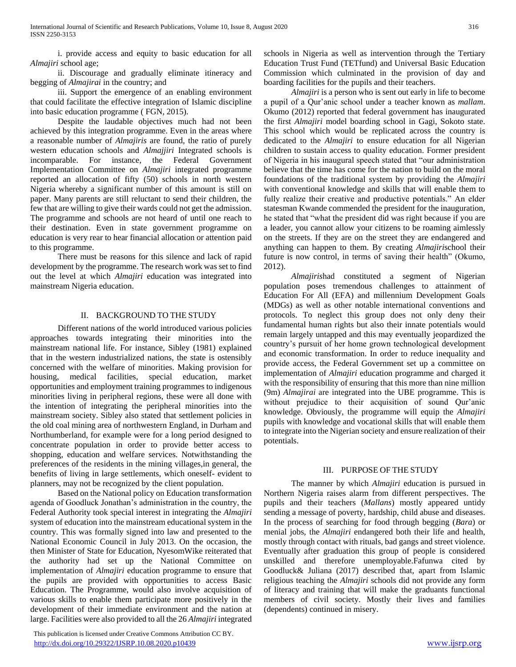i. provide access and equity to basic education for all *Almajiri* school age;

 ii. Discourage and gradually eliminate itineracy and begging of *Almajirai* in the country; and

 iii. Support the emergence of an enabling environment that could facilitate the effective integration of Islamic discipline into basic education programme ( FGN, 2015).

 Despite the laudable objectives much had not been achieved by this integration programme. Even in the areas where a reasonable number of *Almajiris* are found, the ratio of purely western education schools and *Almajjiri* Integrated schools is incomparable. For instance, the Federal Government Implementation Committee on *Almajiri* integrated programme reported an allocation of fifty (50) schools in north western Nigeria whereby a significant number of this amount is still on paper. Many parents are still reluctant to send their children, the few that are willing to give their wards could not get the admission. The programme and schools are not heard of until one reach to their destination. Even in state government programme on education is very rear to hear financial allocation or attention paid to this programme.

 There must be reasons for this silence and lack of rapid development by the programme. The research work was set to find out the level at which *Almajiri* education was integrated into mainstream Nigeria education.

## II. BACKGROUND TO THE STUDY

 Different nations of the world introduced various policies approaches towards integrating their minorities into the mainstream national life. For instance, Sibley (1981) explained that in the western industrialized nations, the state is ostensibly concerned with the welfare of minorities. Making provision for housing, medical facilities, special education, market opportunities and employment training programmes to indigenous minorities living in peripheral regions, these were all done with the intention of integrating the peripheral minorities into the mainstream society. Sibley also stated that settlement policies in the old coal mining area of northwestern England, in Durham and Northumberland, for example were for a long period designed to concentrate population in order to provide better access to shopping, education and welfare services. Notwithstanding the preferences of the residents in the mining villages,in general, the benefits of living in large settlements, which oneself- evident to planners, may not be recognized by the client population.

 Based on the National policy on Education transformation agenda of Goodluck Jonathan's administration in the country, the Federal Authority took special interest in integrating the *Almajiri* system of education into the mainstream educational system in the country. This was formally signed into law and presented to the National Economic Council in July 2013. On the occasion, the then Minister of State for Education, NyesomWike reiterated that the authority had set up the National Committee on implementation of *Almajiri* education programme to ensure that the pupils are provided with opportunities to access Basic Education. The Programme, would also involve acquisition of various skills to enable them participate more positively in the development of their immediate environment and the nation at large. Facilities were also provided to all the 26 *Almajiri* integrated

 This publication is licensed under Creative Commons Attribution CC BY. <http://dx.doi.org/10.29322/IJSRP.10.08.2020.p10439> [www.ijsrp.org](http://ijsrp.org/)

schools in Nigeria as well as intervention through the Tertiary Education Trust Fund (TETfund) and Universal Basic Education Commission which culminated in the provision of day and boarding facilities for the pupils and their teachers.

 *Almajiri* is a person who is sent out early in life to become a pupil of a Qur'anic school under a teacher known as *mallam*. Okumo (2012) reported that federal government has inaugurated the first *Almajiri* model boarding school in Gagi, Sokoto state. This school which would be replicated across the country is dedicated to the *Almajiri* to ensure education for all Nigerian children to sustain access to quality education. Former president of Nigeria in his inaugural speech stated that "our administration believe that the time has come for the nation to build on the moral foundations of the traditional system by providing the *Almajiri* with conventional knowledge and skills that will enable them to fully realize their creative and productive potentials." An elder statesman Kwande commended the president for the inauguration, he stated that "what the president did was right because if you are a leader, you cannot allow your citizens to be roaming aimlessly on the streets. If they are on the street they are endangered and anything can happen to them. By creating *Almajiri*school their future is now control, in terms of saving their health" (Okumo, 2012).

 *Almajiris*had constituted a segment of Nigerian population poses tremendous challenges to attainment of Education For All (EFA) and millennium Development Goals (MDGs) as well as other notable international conventions and protocols. To neglect this group does not only deny their fundamental human rights but also their innate potentials would remain largely untapped and this may eventually jeopardized the country's pursuit of her home grown technological development and economic transformation. In order to reduce inequality and provide access, the Federal Government set up a committee on implementation of *Almajiri* education programme and charged it with the responsibility of ensuring that this more than nine million (9m) *Almajirai* are integrated into the UBE programme. This is without prejudice to their acquisition of sound Qur'anic knowledge. Obviously, the programme will equip the *Almajiri* pupils with knowledge and vocational skills that will enable them to integrate into the Nigerian society and ensure realization of their potentials.

#### III. PURPOSE OF THE STUDY

 The manner by which *Almajiri* education is pursued in Northern Nigeria raises alarm from different perspectives. The pupils and their teachers (*Mallans*) mostly appeared untidy sending a message of poverty, hardship, child abuse and diseases. In the process of searching for food through begging (*Bara*) or menial jobs, the *Almajiri* endangered both their life and health, mostly through contact with rituals, bad gangs and street violence. Eventually after graduation this group of people is considered unskilled and therefore unemployable.Fafunwa cited by Goodluck& Juliana (2017) described that, apart from Islamic religious teaching the *Almajiri* schools did not provide any form of literacy and training that will make the graduants functional members of civil society. Mostly their lives and families (dependents) continued in misery.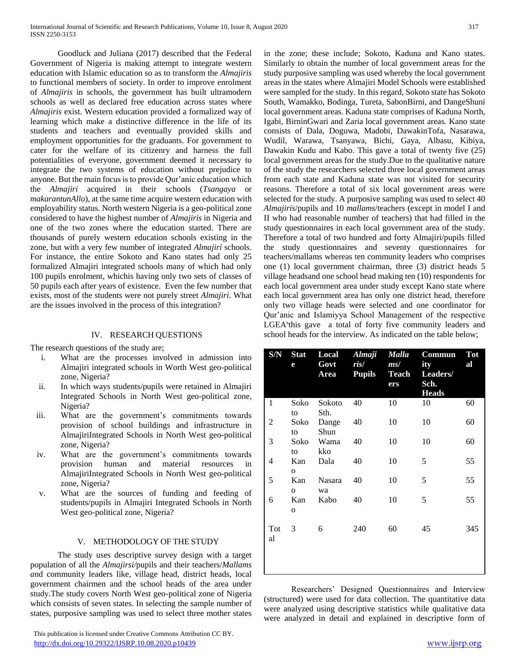Goodluck and Juliana (2017) described that the Federal Government of Nigeria is making attempt to integrate western education with Islamic education so as to transform the *Almajiris* to functional members of society. In order to improve enrolment of *Almajiris* in schools, the government has built ultramodern schools as well as declared free education across states where *Almajiris* exist. Western education provided a formalized way of learning which make a distinctive difference in the life of its students and teachers and eventually provided skills and employment opportunities for the graduants. For government to cater for the welfare of its citizenry and harness the full potentialities of everyone, government deemed it necessary to integrate the two systems of education without prejudice to anyone. But the main focus is to provide Qur'anic education which the *Almajiri* acquired in their schools (*Tsangaya* or *makarantunAllo*), at the same time acquire western education with employability status. North western Nigeria is a geo-political zone considered to have the highest number of *Almajiris* in Nigeria and one of the two zones where the education started. There are thousands of purely western education schools existing in the zone, but with a very few number of integrated *Almajiri* schools. For instance, the entire Sokoto and Kano states had only 25 formalized Almajiri integrated schools many of which had only 100 pupils enrolment, whichis having only two sets of classes of 50 pupils each after years of existence. Even the few number that exists, most of the students were not purely street *Almajiri*. What are the issues involved in the process of this integration?

# IV. RESEARCH QUESTIONS

The research questions of the study are;

- i. What are the processes involved in admission into Almajiri integrated schools in Worth West geo-political zone, Nigeria?
- ii. In which ways students/pupils were retained in Almajiri Integrated Schools in North West geo-political zone, Nigeria?
- iii. What are the government's commitments towards provision of school buildings and infrastructure in AlmajiriIntegrated Schools in North West geo-political zone, Nigeria?
- iv. What are the government's commitments towards provision human and material resources in AlmajiriIntegrated Schools in North West geo-political zone, Nigeria?
- v. What are the sources of funding and feeding of students/pupils in Almajiri Integrated Schools in North West geo-political zone, Nigeria?

# V. METHODOLOGY OF THE STUDY

 The study uses descriptive survey design with a target population of all the *Almajirsi/*pupils and their teachers/*Mallams a*nd community leaders like, village head, district heads, local government chairmen and the school heads of the area under study.The study covers North West geo-political zone of Nigeria which consists of seven states. In selecting the sample number of states, purposive sampling was used to select three mother states in the zone; these include; Sokoto, Kaduna and Kano states. Similarly to obtain the number of local government areas for the study purposive sampling was used whereby the local government areas in the states where Almajiri Model Schools were established were sampled for the study. In this regard, Sokoto state has Sokoto South, Wamakko, Bodinga, Tureta, SabonBirni, and DangeShuni local government areas. Kaduna state comprises of Kaduna North, Igabi, BirninGwari and Zaria local government areas. Kano state consists of Dala, Doguwa, Madobi, DawakinTofa, Nasarawa, Wudil, Warawa, Tsanyawa, Bichi, Gaya, Albasu, Kibiya, Dawakin Kudu and Kabo. This gave a total of twenty five (25) local government areas for the study.Due to the qualitative nature of the study the researchers selected three local government areas from each state and Kaduna state was not visited for security reasons. Therefore a total of six local government areas were selected for the study. A purposive sampling was used to select 40 *Almajiris*/pupils and 10 *mallams*/teachers (except in model I and II who had reasonable number of teachers) that had filled in the study questionnaires in each local government area of the study. Therefore a total of two hundred and forty Almajiri/pupils filled the study questionnaires and seventy questionnaires for teachers/mallams whereas ten community leaders who comprises one (1) local government chairman, three (3) district heads 5 village headsand one school head making ten (10) respondents for each local government area under study except Kano state where each local government area has only one district head, therefore only two village heads were selected and one coordinator for Qur'anic and Islamiyya School Management of the respective LGEA<sup>s</sup>this gave a total of forty five community leaders and school heads for the interview. As indicated on the table below;

| S/N            | <b>Stat</b><br>e    | Local<br>Govt<br><b>Area</b> | <b>Almaji</b><br>ris/<br><b>Pupils</b> | <b>Malla</b><br>ms/<br><b>Teach</b><br>ers | <b>Commun</b><br>ity<br>Leaders/<br>Sch.<br><b>Heads</b> | <b>Tot</b><br>al |
|----------------|---------------------|------------------------------|----------------------------------------|--------------------------------------------|----------------------------------------------------------|------------------|
| 1              | Soko<br>to          | Sokoto<br>Sth.               | 40                                     | 10                                         | 10                                                       | 60               |
| $\overline{c}$ | Soko<br>to          | Dange<br>Shun                | 40                                     | 10                                         | 10                                                       | 60               |
| 3              | Soko<br>to          | Wama<br>kko                  | 40                                     | 10                                         | 10                                                       | 60               |
| $\overline{4}$ | Kan<br>$\mathbf{O}$ | Dala                         | 40                                     | 10                                         | 5                                                        | 55               |
| 5              | Kan<br>$\mathbf{O}$ | Nasara<br>wa                 | 40                                     | 10                                         | 5                                                        | 55               |
| 6              | Kan<br>$\mathbf{o}$ | Kabo                         | 40                                     | 10                                         | 5                                                        | 55               |
| Tot<br>al      | 3                   | 6                            | 240                                    | 60                                         | 45                                                       | 345              |

 Researchers' Designed Questionnaires and Interview (structured) were used for data collection. The quantitative data were analyzed using descriptive statistics while qualitative data were analyzed in detail and explained in descriptive form of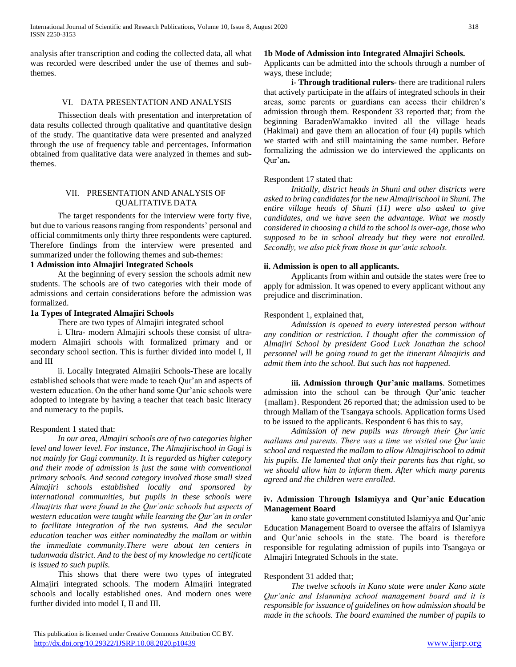analysis after transcription and coding the collected data, all what was recorded were described under the use of themes and subthemes.

## VI. DATA PRESENTATION AND ANALYSIS

 Thissection deals with presentation and interpretation of data results collected through qualitative and quantitative design of the study. The quantitative data were presented and analyzed through the use of frequency table and percentages. Information obtained from qualitative data were analyzed in themes and subthemes.

## VII. PRESENTATION AND ANALYSIS OF QUALITATIVE DATA

 The target respondents for the interview were forty five, but due to various reasons ranging from respondents' personal and official commitments only thirty three respondents were captured. Therefore findings from the interview were presented and summarized under the following themes and sub-themes:

# **1 Admission into Almajiri Integrated Schools**

 At the beginning of every session the schools admit new students. The schools are of two categories with their mode of admissions and certain considerations before the admission was formalized.

#### **1a Types of Integrated Almajiri Schools**

There are two types of Almajiri integrated school

 i. Ultra- modern Almajiri schools these consist of ultramodern Almajiri schools with formalized primary and or secondary school section. This is further divided into model I, II and III

 ii. Locally Integrated Almajiri Schools-These are locally established schools that were made to teach Qur'an and aspects of western education. On the other hand some Qur'anic schools were adopted to integrate by having a teacher that teach basic literacy and numeracy to the pupils.

## Respondent 1 stated that:

 *In our area, Almajiri schools are of two categories higher level and lower level. For instance, The Almajirischool in Gagi is not mainly for Gagi community. It is regarded as higher category and their mode of admission is just the same with conventional primary schools. And second category involved those small sized Almajiri schools established locally and sponsored by international communities, but pupils in these schools were Almajiris that were found in the Qur'anic schools but aspects of western education were taught while learning the Qur'an in order*  to facilitate integration of the two systems. And the secular *education teacher was either nominatedby the mallam or within the immediate community.There were about ten centers in tudunwada district. And to the best of my knowledge no certificate is issued to such pupils.* 

 This shows that there were two types of integrated Almajiri integrated schools. The modern Almajiri integrated schools and locally established ones. And modern ones were further divided into model I, II and III.

#### **1b Mode of Admission into Integrated Almajiri Schools.**

Applicants can be admitted into the schools through a number of ways, these include;

 **i- Through traditional rulers-** there are traditional rulers that actively participate in the affairs of integrated schools in their areas, some parents or guardians can access their children's admission through them. Respondent 33 reported that; from the beginning BaradenWamakko invited all the village heads (Hakimai) and gave them an allocation of four (4) pupils which we started with and still maintaining the same number. Before formalizing the admission we do interviewed the applicants on Qur'an**.**

#### Respondent 17 stated that:

 *Initially, district heads in Shuni and other districts were asked to bring candidates for the new Almajirischool in Shuni. The entire village heads of Shuni (11) were also asked to give candidates, and we have seen the advantage. What we mostly considered in choosing a child to the school is over-age, those who supposed to be in school already but they were not enrolled. Secondly, we also pick from those in qur'anic schools.*

#### **ii. Admission is open to all applicants.**

 Applicants from within and outside the states were free to apply for admission. It was opened to every applicant without any prejudice and discrimination.

## Respondent 1, explained that,

 *Admission is opened to every interested person without any condition or restriction. I thought after the commission of Almajiri School by president Good Luck Jonathan the school personnel will be going round to get the itinerant Almajiris and admit them into the school. But such has not happened.*

 **iii. Admission through Qur'anic mallams**. Sometimes admission into the school can be through Qur'anic teacher {mallam}. Respondent 26 reported that; the admission used to be through Mallam of the Tsangaya schools. Application forms Used to be issued to the applicants. Respondent 6 has this to say,

 *Admission of new pupils was through their Qur'anic mallams and parents. There was a time we visited one Qur'anic school and requested the mallam to allow Almajirischool to admit his pupils. He lamented that only their parents has that right, so we should allow him to inform them. After which many parents agreed and the children were enrolled.*

# **iv. Admission Through Islamiyya and Qur'anic Education Management Board**

 kano state government constituted Islamiyya and Qur'anic Education Management Board to oversee the affairs of Islamiyya and Qur'anic schools in the state. The board is therefore responsible for regulating admission of pupils into Tsangaya or Almajiri Integrated Schools in the state.

#### Respondent 31 added that;

 *The twelve schools in Kano state were under Kano state Qur'anic and Islammiya school management board and it is responsible for issuance of guidelines on how admission should be made in the schools. The board examined the number of pupils to*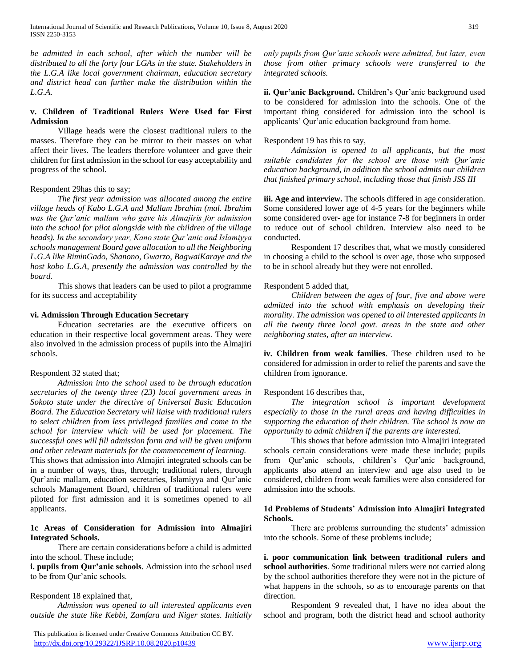*be admitted in each school, after which the number will be distributed to all the forty four LGAs in the state. Stakeholders in the L.G.A like local government chairman, education secretary and district head can further make the distribution within the L.G.A.*

# **v. Children of Traditional Rulers Were Used for First Admission**

 Village heads were the closest traditional rulers to the masses. Therefore they can be mirror to their masses on what affect their lives. The leaders therefore volunteer and gave their children for first admission in the school for easy acceptability and progress of the school.

#### Respondent 29has this to say;

 *The first year admission was allocated among the entire village heads of Kabo L.G.A and Mallam Ibrahim (mal. Ibrahim was the Qur'anic mallam who gave his Almajiris for admission into the school for pilot alongside with the children of the village heads). In the secondary year, Kano state Qur'anic and Islamiyya schools management Board gave allocation to all the Neighboring L.G.A like RiminGado, Shanono, Gwarzo, BagwaiKaraye and the host kobo L.G.A, presently the admission was controlled by the board.*

 This shows that leaders can be used to pilot a programme for its success and acceptability

# **vi. Admission Through Education Secretary**

 Education secretaries are the executive officers on education in their respective local government areas. They were also involved in the admission process of pupils into the Almajiri schools.

## Respondent 32 stated that;

 *Admission into the school used to be through education secretaries of the twenty three (23) local government areas in Sokoto state under the directive of Universal Basic Education Board. The Education Secretary will liaise with traditional rulers to select children from less privileged families and come to the school for interview which will be used for placement. The successful ones will fill admission form and will be given uniform and other relevant materials for the commencement of learning.*

This shows that admission into Almajiri integrated schools can be in a number of ways, thus, through; traditional rulers, through Qur'anic mallam, education secretaries, Islamiyya and Qur'anic schools Management Board, children of traditional rulers were piloted for first admission and it is sometimes opened to all applicants.

## **1c Areas of Consideration for Admission into Almajiri Integrated Schools.**

 There are certain considerations before a child is admitted into the school. These include;

**i. pupils from Qur'anic schools**. Admission into the school used to be from Qur'anic schools.

## Respondent 18 explained that,

 *Admission was opened to all interested applicants even outside the state like Kebbi, Zamfara and Niger states. Initially* 

 This publication is licensed under Creative Commons Attribution CC BY. <http://dx.doi.org/10.29322/IJSRP.10.08.2020.p10439> [www.ijsrp.org](http://ijsrp.org/)

*only pupils from Qur'anic schools were admitted, but later, even those from other primary schools were transferred to the integrated schools.*

**ii. Qur'anic Background.** Children's Qur'anic background used to be considered for admission into the schools. One of the important thing considered for admission into the school is applicants' Qur'anic education background from home.

## Respondent 19 has this to say,

 *Admission is opened to all applicants, but the most suitable candidates for the school are those with Qur'anic education background, in addition the school admits our children that finished primary school, including those that finish JSS III*

**iii. Age and interview.** The schools differed in age consideration. Some considered lower age of 4-5 years for the beginners while some considered over- age for instance 7-8 for beginners in order to reduce out of school children. Interview also need to be conducted.

 Respondent 17 describes that, what we mostly considered in choosing a child to the school is over age, those who supposed to be in school already but they were not enrolled.

## Respondent 5 added that,

 *Children between the ages of four, five and above were admitted into the school with emphasis on developing their morality. The admission was opened to all interested applicants in all the twenty three local govt. areas in the state and other neighboring states, after an interview.*

**iv. Children from weak families**. These children used to be considered for admission in order to relief the parents and save the children from ignorance.

## Respondent 16 describes that,

 *The integration school is important development especially to those in the rural areas and having difficulties in supporting the education of their children. The school is now an opportunity to admit children if the parents are interested.*

 This shows that before admission into Almajiri integrated schools certain considerations were made these include; pupils from Qur'anic schools, children's Qur'anic background, applicants also attend an interview and age also used to be considered, children from weak families were also considered for admission into the schools.

## **1d Problems of Students' Admission into Almajiri Integrated Schools.**

 There are problems surrounding the students' admission into the schools. Some of these problems include;

**i. poor communication link between traditional rulers and school authorities**. Some traditional rulers were not carried along by the school authorities therefore they were not in the picture of what happens in the schools, so as to encourage parents on that direction.

 Respondent 9 revealed that, I have no idea about the school and program, both the district head and school authority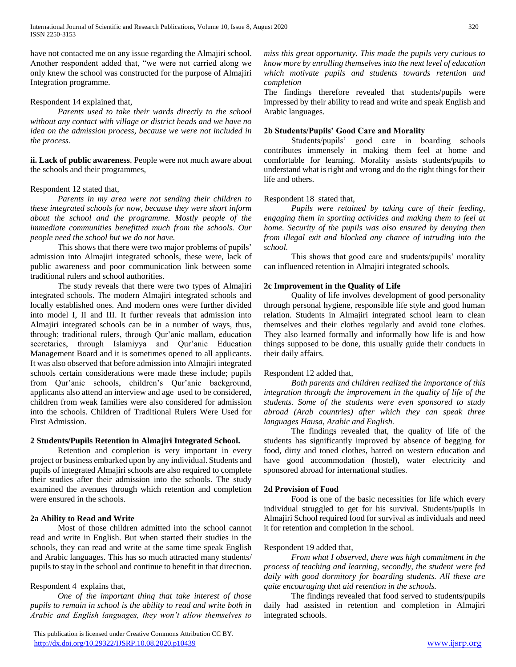have not contacted me on any issue regarding the Almajiri school. Another respondent added that, "we were not carried along we only knew the school was constructed for the purpose of Almajiri Integration programme.

#### Respondent 14 explained that,

 *Parents used to take their wards directly to the school without any contact with village or district heads and we have no idea on the admission process, because we were not included in the process.*

**ii. Lack of public awareness**. People were not much aware about the schools and their programmes,

# Respondent 12 stated that,

 *Parents in my area were not sending their children to these integrated schools for now, because they were short inform about the school and the programme. Mostly people of the immediate communities benefitted much from the schools. Our people need the school but we do not have.*

 This shows that there were two major problems of pupils' admission into Almajiri integrated schools, these were, lack of public awareness and poor communication link between some traditional rulers and school authorities.

 The study reveals that there were two types of Almajiri integrated schools. The modern Almajiri integrated schools and locally established ones. And modern ones were further divided into model I, II and III. It further reveals that admission into Almajiri integrated schools can be in a number of ways, thus, through; traditional rulers, through Qur'anic mallam, education secretaries, through Islamiyya and Qur'anic Education Management Board and it is sometimes opened to all applicants. It was also observed that before admission into Almajiri integrated schools certain considerations were made these include; pupils from Qur'anic schools, children's Qur'anic background, applicants also attend an interview and age used to be considered, children from weak families were also considered for admission into the schools. Children of Traditional Rulers Were Used for First Admission.

#### **2 Students/Pupils Retention in Almajiri Integrated School.**

 Retention and completion is very important in every project or business embarked upon by any individual. Students and pupils of integrated Almajiri schools are also required to complete their studies after their admission into the schools. The study examined the avenues through which retention and completion were ensured in the schools.

## **2a Ability to Read and Write**

 Most of those children admitted into the school cannot read and write in English. But when started their studies in the schools, they can read and write at the same time speak English and Arabic languages. This has so much attracted many students/ pupils to stay in the school and continue to benefit in that direction.

#### Respondent 4 explains that,

 *One of the important thing that take interest of those pupils to remain in school is the ability to read and write both in Arabic and English languages, they won't allow themselves to* 

 This publication is licensed under Creative Commons Attribution CC BY. <http://dx.doi.org/10.29322/IJSRP.10.08.2020.p10439> [www.ijsrp.org](http://ijsrp.org/)

*miss this great opportunity. This made the pupils very curious to know more by enrolling themselves into the next level of education which motivate pupils and students towards retention and completion*

The findings therefore revealed that students/pupils were impressed by their ability to read and write and speak English and Arabic languages.

#### **2b Students/Pupils' Good Care and Morality**

 Students/pupils' good care in boarding schools contributes immensely in making them feel at home and comfortable for learning. Morality assists students/pupils to understand what is right and wrong and do the right things for their life and others.

## Respondent 18 stated that,

 *Pupils were retained by taking care of their feeding, engaging them in sporting activities and making them to feel at home. Security of the pupils was also ensured by denying then from illegal exit and blocked any chance of intruding into the school.*

 This shows that good care and students/pupils' morality can influenced retention in Almajiri integrated schools.

#### **2c Improvement in the Quality of Life**

 Quality of life involves development of good personality through personal hygiene, responsible life style and good human relation. Students in Almajiri integrated school learn to clean themselves and their clothes regularly and avoid tone clothes. They also learned formally and informally how life is and how things supposed to be done, this usually guide their conducts in their daily affairs.

#### Respondent 12 added that,

 *Both parents and children realized the importance of this integration through the improvement in the quality of life of the students. Some of the students were even sponsored to study abroad (Arab countries) after which they can speak three languages Hausa, Arabic and English.*

 The findings revealed that, the quality of life of the students has significantly improved by absence of begging for food, dirty and toned clothes, hatred on western education and have good accommodation (hostel), water electricity and sponsored abroad for international studies.

#### **2d Provision of Food**

 Food is one of the basic necessities for life which every individual struggled to get for his survival. Students/pupils in Almajiri School required food for survival as individuals and need it for retention and completion in the school.

## Respondent 19 added that,

 *From what I observed, there was high commitment in the process of teaching and learning, secondly, the student were fed daily with good dormitory for boarding students. All these are quite encouraging that aid retention in the schools.*

 The findings revealed that food served to students/pupils daily had assisted in retention and completion in Almajiri integrated schools.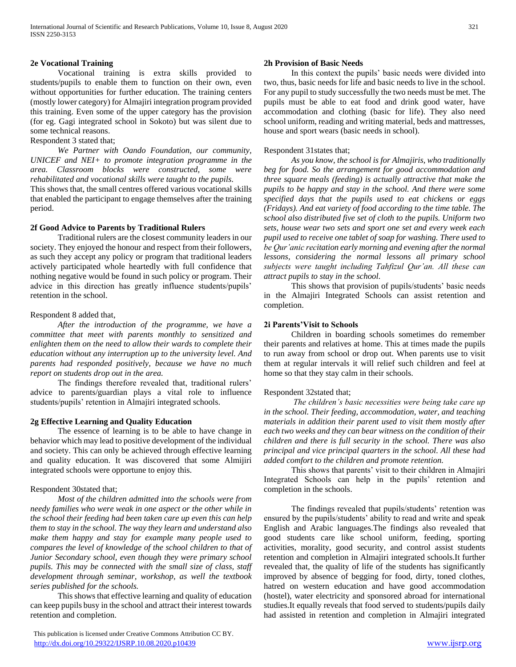#### **2e Vocational Training**

 Vocational training is extra skills provided to students/pupils to enable them to function on their own, even without opportunities for further education. The training centers (mostly lower category) for Almajiri integration program provided this training. Even some of the upper category has the provision (for eg. Gagi integrated school in Sokoto) but was silent due to some technical reasons.

#### Respondent 3 stated that;

 *We Partner with Oando Foundation, our community, UNICEF and NEI+ to promote integration programme in the area. Classroom blocks were constructed, some were rehabilitated and vocational skills were taught to the pupils*.

This shows that, the small centres offered various vocational skills that enabled the participant to engage themselves after the training period.

## **2f Good Advice to Parents by Traditional Rulers**

 Traditional rulers are the closest community leaders in our society. They enjoyed the honour and respect from their followers, as such they accept any policy or program that traditional leaders actively participated whole heartedly with full confidence that nothing negative would be found in such policy or program. Their advice in this direction has greatly influence students/pupils' retention in the school.

#### Respondent 8 added that,

 *After the introduction of the programme, we have a committee that meet with parents monthly to sensitized and enlighten them on the need to allow their wards to complete their education without any interruption up to the university level. And parents had responded positively, because we have no much report on students drop out in the area.*

 The findings therefore revealed that, traditional rulers' advice to parents/guardian plays a vital role to influence students/pupils' retention in Almajiri integrated schools.

## **2g Effective Learning and Quality Education**

 The essence of learning is to be able to have change in behavior which may lead to positive development of the individual and society. This can only be achieved through effective learning and quality education. It was discovered that some Almijiri integrated schools were opportune to enjoy this.

#### Respondent 30stated that;

 *Most of the children admitted into the schools were from needy families who were weak in one aspect or the other while in the school their feeding had been taken care up even this can help them to stay in the school. The way they learn and understand also make them happy and stay for example many people used to compares the level of knowledge of the school children to that of Junior Secondary school, even though they were primary school pupils. This may be connected with the small size of class, staff development through seminar, workshop, as well the textbook series published for the schools.*

 This shows that effective learning and quality of education can keep pupils busy in the school and attract their interest towards retention and completion.

#### **2h Provision of Basic Needs**

 In this context the pupils' basic needs were divided into two, thus, basic needs for life and basic needs to live in the school. For any pupil to study successfully the two needs must be met. The pupils must be able to eat food and drink good water, have accommodation and clothing (basic for life). They also need school uniform, reading and writing material, beds and mattresses, house and sport wears (basic needs in school).

#### Respondent 31states that;

 *As you know, the school is for Almajiris, who traditionally beg for food. So the arrangement for good accommodation and three square meals (feeding) is actually attractive that make the pupils to be happy and stay in the school. And there were some specified days that the pupils used to eat chickens or eggs (Fridays). And eat variety of food according to the time table. The school also distributed five set of cloth to the pupils. Uniform two sets, house wear two sets and sport one set and every week each pupil used to receive one tablet of soap for washing. There used to be Qur'anic recitation early morning and evening after the normal lessons, considering the normal lessons all primary school subjects were taught including Tahfizul Qur'an. All these can attract pupils to stay in the school.*

 This shows that provision of pupils/students' basic needs in the Almajiri Integrated Schools can assist retention and completion.

# **2i Parents'Visit to Schools**

 Children in boarding schools sometimes do remember their parents and relatives at home. This at times made the pupils to run away from school or drop out. When parents use to visit them at regular intervals it will relief such children and feel at home so that they stay calm in their schools.

#### Respondent 32stated that;

 *The children's basic necessities were being take care up in the school. Their feeding, accommodation, water, and teaching materials in addition their parent used to visit them mostly after each two weeks and they can bear witness on the condition of their children and there is full security in the school. There was also principal and vice principal quarters in the school. All these had added comfort to the children and promote retention.*

 This shows that parents' visit to their children in Almajiri Integrated Schools can help in the pupils' retention and completion in the schools.

 The findings revealed that pupils/students' retention was ensured by the pupils/students' ability to read and write and speak English and Arabic languages.The findings also revealed that good students care like school uniform, feeding, sporting activities, morality, good security, and control assist students retention and completion in Almajiri integrated schools.It further revealed that, the quality of life of the students has significantly improved by absence of begging for food, dirty, toned clothes, hatred on western education and have good accommodation (hostel), water electricity and sponsored abroad for international studies.It equally reveals that food served to students/pupils daily had assisted in retention and completion in Almajiri integrated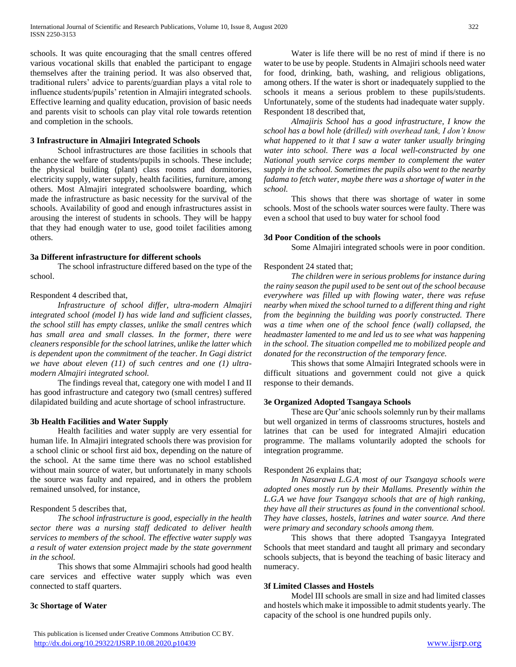schools. It was quite encouraging that the small centres offered various vocational skills that enabled the participant to engage themselves after the training period. It was also observed that, traditional rulers' advice to parents/guardian plays a vital role to influence students/pupils' retention in Almajiri integrated schools. Effective learning and quality education, provision of basic needs and parents visit to schools can play vital role towards retention and completion in the schools.

## **3 Infrastructure in Almajiri Integrated Schools**

 School infrastructures are those facilities in schools that enhance the welfare of students/pupils in schools. These include; the physical building (plant) class rooms and dormitories, electricity supply, water supply, health facilities, furniture, among others. Most Almajiri integrated schoolswere boarding, which made the infrastructure as basic necessity for the survival of the schools. Availability of good and enough infrastructures assist in arousing the interest of students in schools. They will be happy that they had enough water to use, good toilet facilities among others.

#### **3a Different infrastructure for different schools**

 The school infrastructure differed based on the type of the school.

#### Respondent 4 described that,

 *Infrastructure of school differ, ultra-modern Almajiri integrated school (model I) has wide land and sufficient classes, the school still has empty classes, unlike the small centres which has small area and small classes. In the former, there were cleaners responsible for the school latrines, unlike the latter which is dependent upon the commitment of the teacher. In Gagi district we have about eleven (11) of such centres and one (1) ultramodern Almajiri integrated school.*

 The findings reveal that, category one with model I and II has good infrastructure and category two (small centres) suffered dilapidated building and acute shortage of school infrastructure.

## **3b Health Facilities and Water Supply**

 Health facilities and water supply are very essential for human life. In Almajiri integrated schools there was provision for a school clinic or school first aid box, depending on the nature of the school. At the same time there was no school established without main source of water, but unfortunately in many schools the source was faulty and repaired, and in others the problem remained unsolved, for instance,

#### Respondent 5 describes that,

 *The school infrastructure is good, especially in the health sector there was a nursing staff dedicated to deliver health services to members of the school. The effective water supply was a result of water extension project made by the state government in the school.* 

 This shows that some Almmajiri schools had good health care services and effective water supply which was even connected to staff quarters.

#### **3c Shortage of Water**

 Water is life there will be no rest of mind if there is no water to be use by people. Students in Almajiri schools need water for food, drinking, bath, washing, and religious obligations, among others. If the water is short or inadequately supplied to the schools it means a serious problem to these pupils/students. Unfortunately, some of the students had inadequate water supply. Respondent 18 described that,

 *Almajiris School has a good infrastructure, I know the school has a bowl hole (drilled) with overhead tank, I don't know what happened to it that I saw a water tanker usually bringing water into school. There was a local well-constructed by one National youth service corps member to complement the water supply in the school. Sometimes the pupils also went to the nearby fadama to fetch water, maybe there was a shortage of water in the school.*

 This shows that there was shortage of water in some schools. Most of the schools water sources were faulty. There was even a school that used to buy water for school food

#### **3d Poor Condition of the schools**

Some Almajiri integrated schools were in poor condition.

#### Respondent 24 stated that;

 *The children were in serious problems for instance during the rainy season the pupil used to be sent out of the school because everywhere was filled up with flowing water, there was refuse nearby when mixed the school turned to a different thing and right from the beginning the building was poorly constructed. There was a time when one of the school fence (wall) collapsed, the headmaster lamented to me and led us to see what was happening in the school. The situation compelled me to mobilized people and donated for the reconstruction of the temporary fence.* 

 This shows that some Almajiri Integrated schools were in difficult situations and government could not give a quick response to their demands.

#### **3e Organized Adopted Tsangaya Schools**

 These are Qur'anic schools solemnly run by their mallams but well organized in terms of classrooms structures, hostels and latrines that can be used for integrated Almajiri education programme. The mallams voluntarily adopted the schools for integration programme.

#### Respondent 26 explains that;

 *In Nasarawa L.G.A most of our Tsangaya schools were adopted ones mostly run by their Mallams. Presently within the L.G.A we have four Tsangaya schools that are of high ranking, they have all their structures as found in the conventional school. They have classes, hostels, latrines and water source. And there were primary and secondary schools among them.*

 This shows that there adopted Tsangayya Integrated Schools that meet standard and taught all primary and secondary schools subjects, that is beyond the teaching of basic literacy and numeracy.

#### **3f Limited Classes and Hostels**

 Model III schools are small in size and had limited classes and hostels which make it impossible to admit students yearly. The capacity of the school is one hundred pupils only.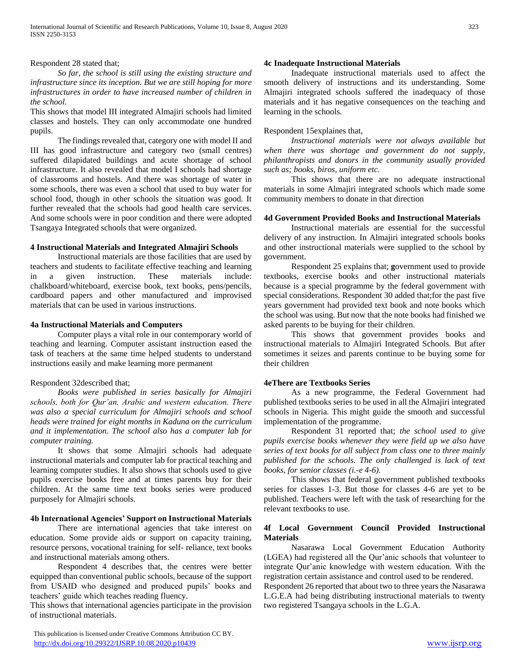# Respondent 28 stated that;

 *So far, the school is still using the existing structure and infrastructure since its inception. But we are still hoping for more infrastructures in order to have increased number of children in the school.* 

This shows that model III integrated Almajiri schools had limited classes and hostels. They can only accommodate one hundred pupils.

 The findings revealed that, category one with model II and III has good infrastructure and category two (small centres) suffered dilapidated buildings and acute shortage of school infrastructure. It also revealed that model I schools had shortage of classrooms and hostels. And there was shortage of water in some schools, there was even a school that used to buy water for school food, though in other schools the situation was good. It further revealed that the schools had good health care services. And some schools were in poor condition and there were adopted Tsangaya Integrated schools that were organized.

## **4 Instructional Materials and Integrated Almajiri Schools**

 Instructional materials are those facilities that are used by teachers and students to facilitate effective teaching and learning in a given instruction. These materials include: chalkboard/whiteboard, exercise book, text books, pens/pencils, cardboard papers and other manufactured and improvised materials that can be used in various instructions.

#### **4a Instructional Materials and Computers**

 Computer plays a vital role in our contemporary world of teaching and learning. Computer assistant instruction eased the task of teachers at the same time helped students to understand instructions easily and make learning more permanent

## Respondent 32described that;

 *Books were published in series basically for Almajiri schools, both for Qur'an, Arabic and western education. There was also a special curriculum for Almajiri schools and school heads were trained for eight months in Kaduna on the curriculum and it implementation. The school also has a computer lab for computer training.*

 It shows that some Almajiri schools had adequate instructional materials and computer lab for practical teaching and learning computer studies. It also shows that schools used to give pupils exercise books free and at times parents buy for their children. At the same time text books series were produced purposely for Almajiri schools.

# **4b International Agencies' Support on Instructional Materials**

 There are international agencies that take interest on education. Some provide aids or support on capacity training, resource persons, vocational training for self- reliance, text books and instructional materials among others.

 Respondent 4 describes that, the centres were better equipped than conventional public schools, because of the support from USAID who designed and produced pupils' books and teachers' guide which teaches reading fluency.

This shows that international agencies participate in the provision of instructional materials.

#### **4c Inadequate Instructional Materials**

 Inadequate instructional materials used to affect the smooth delivery of instructions and its understanding. Some Almajiri integrated schools suffered the inadequacy of those materials and it has negative consequences on the teaching and learning in the schools.

#### Respondent 15explaines that,

 *Instructional materials were not always available but when there was shortage and government do not supply, philanthropists and donors in the community usually provided such as; books, biros, uniform etc.*

 This shows that there are no adequate instructional materials in some Almajiri integrated schools which made some community members to donate in that direction

# **4d Government Provided Books and Instructional Materials**

 Instructional materials are essential for the successful delivery of any instruction. In Almajiri integrated schools books and other instructional materials were supplied to the school by government.

 Respondent 25 explains that; **g**overnment used to provide textbooks, exercise books and other instructional materials because is a special programme by the federal government with special considerations. Respondent 30 added that;for the past five years government had provided text book and note books which the school was using. But now that the note books had finished we asked parents to be buying for their children.

 This shows that government provides books and instructional materials to Almajiri Integrated Schools. But after sometimes it seizes and parents continue to be buying some for their children

#### **4eThere are Textbooks Series**

 As a new programme, the Federal Government had published textbooks series to be used in all the Almajiri integrated schools in Nigeria. This might guide the smooth and successful implementation of the programme.

 Respondent 31 reported that; *the school used to give pupils exercise books whenever they were field up we also have series of text books for all subject from class one to three mainly published for the schools. The only challenged is lack of text books, for senior classes (i.-e 4-6).*

 This shows that federal government published textbooks series for classes 1-3. But those for classes 4-6 are yet to be published. Teachers were left with the task of researching for the relevant textbooks to use.

## **4f Local Government Council Provided Instructional Materials**

 Nasarawa Local Government Education Authority (LGEA) had registered all the Qur'anic schools that volunteer to integrate Qur'anic knowledge with western education. With the registration certain assistance and control used to be rendered.

Respondent 26 reported that about two to three years the Nasarawa L.G.E.A had being distributing instructional materials to twenty two registered Tsangaya schools in the L.G.A.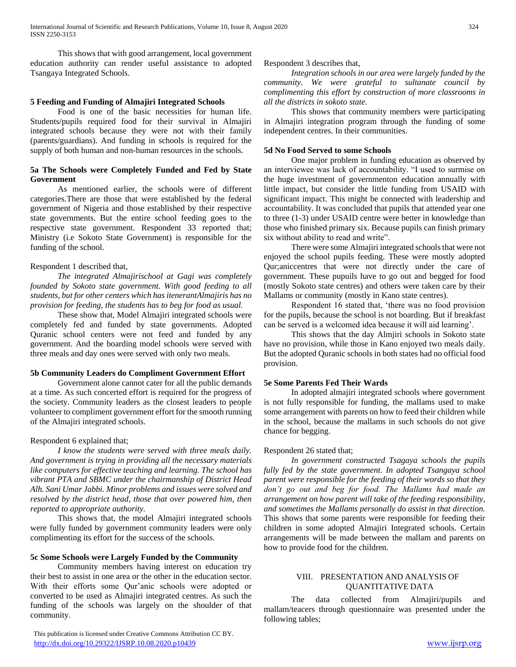This shows that with good arrangement, local government education authority can render useful assistance to adopted Tsangaya Integrated Schools.

# **5 Feeding and Funding of Almajiri Integrated Schools**

 Food is one of the basic necessities for human life. Students/pupils required food for their survival in Almajiri integrated schools because they were not with their family (parents/guardians). And funding in schools is required for the supply of both human and non-human resources in the schools.

# **5a The Schools were Completely Funded and Fed by State Government**

 As mentioned earlier, the schools were of different categories.There are those that were established by the federal government of Nigeria and those established by their respective state governments. But the entire school feeding goes to the respective state government. Respondent 33 reported that; Ministry (i.e Sokoto State Government) is responsible for the funding of the school.

#### Respondent 1 described that,

 *The integrated Almajirischool at Gagi was completely founded by Sokoto state government. With good feeding to all students, but for other centers which has itenerantAlmajiris has no provision for feeding, the students has to beg for food as usual.*

 These show that, Model Almajiri integrated schools were completely fed and funded by state governments. Adopted Quranic school centers were not feed and funded by any government. And the boarding model schools were served with three meals and day ones were served with only two meals.

## **5b Community Leaders do Compliment Government Effort**

 Government alone cannot cater for all the public demands at a time. As such concerted effort is required for the progress of the society. Community leaders as the closest leaders to people volunteer to compliment government effort for the smooth running of the Almajiri integrated schools.

#### Respondent 6 explained that;

 *I know the students were served with three meals daily. And government is trying in providing all the necessary materials like computers for effective teaching and learning. The school has vibrant PTA and SBMC under the chairmanship of District Head Alh. Sani Umar Jabbi. Minor problems and issues were solved and resolved by the district head, those that over powered him, then reported to appropriate authority.*

 This shows that, the model Almajiri integrated schools were fully funded by government community leaders were only complimenting its effort for the success of the schools.

#### **5c Some Schools were Largely Funded by the Community**

 Community members having interest on education try their best to assist in one area or the other in the education sector. With their efforts some Qur'anic schools were adopted or converted to be used as Almajiri integrated centres. As such the funding of the schools was largely on the shoulder of that community.

Respondent 3 describes that,

 *Integration schools in our area were largely funded by the community. We were grateful to sultanate council by complimenting this effort by construction of more classrooms in all the districts in sokoto state.* 

 This shows that community members were participating in Almajiri integration program through the funding of some independent centres. In their communities.

#### **5d No Food Served to some Schools**

 One major problem in funding education as observed by an interviewee was lack of accountability. "I used to surmise on the huge investment of governmenton education annually with little impact, but consider the little funding from USAID with significant impact. This might be connected with leadership and accountability. It was concluded that pupils that attended year one to three (1-3) under USAID centre were better in knowledge than those who finished primary six. Because pupils can finish primary six without ability to read and write".

 There were some Almajiri integrated schools that were not enjoyed the school pupils feeding. These were mostly adopted Qur;aniccentres that were not directly under the care of government. These pupuils have to go out and begged for food (mostly Sokoto state centres) and others were taken care by their Mallams or community (mostly in Kano state centres).

 Respondent 16 stated that, 'there was no food provision for the pupils, because the school is not boarding. But if breakfast can be served is a welcomed idea because it will aid learning'.

 This shows that the day Almjiri schools in Sokoto state have no provision, while those in Kano enjoyed two meals daily. But the adopted Quranic schools in both states had no official food provision.

#### **5e Some Parents Fed Their Wards**

 In adopted almajiri integrated schools where government is not fully responsible for funding, the mallams used to make some arrangement with parents on how to feed their children while in the school, because the mallams in such schools do not give chance for begging.

#### Respondent 26 stated that;

 *In government constructed Tsagaya schools the pupils fully fed by the state government. In adopted Tsangaya school parent were responsible for the feeding of their words so that they don't go out and beg for food. The Mallams had made an arrangement on how parent will take of the feeding responsibility, and sometimes the Mallams personally do assist in that direction.* This shows that some parents were responsible for feeding their children in some adopted Almajiri Integrated schools. Certain arrangements will be made between the mallam and parents on how to provide food for the children.

#### VIII. PRESENTATION AND ANALYSIS OF QUANTITATIVE DATA

 The data collected from Almajiri/pupils and mallam/teacers through questionnaire was presented under the following tables;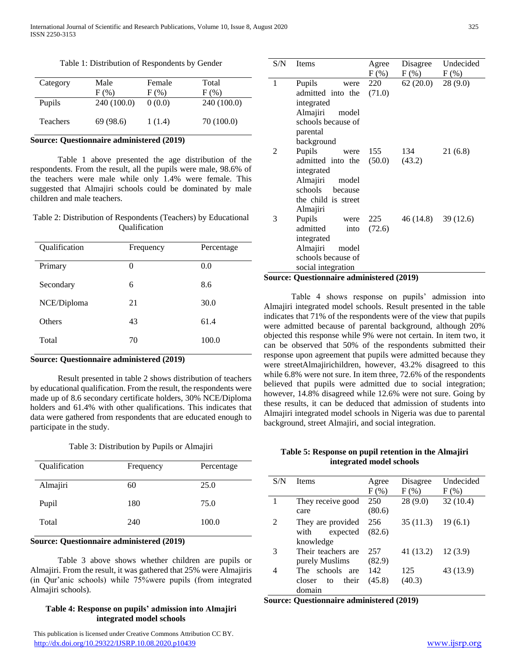Category Male F (%) Female  $F (%)$ Total  $F$  (%) Pupils 240 (100.0) 0 (0.0) 240 (100.0) Teachers 69 (98.6) 1 (1.4) 70 (100.0)

Table 1: Distribution of Respondents by Gender

## **Source: Questionnaire administered (2019)**

 Table 1 above presented the age distribution of the respondents. From the result, all the pupils were male, 98.6% of the teachers were male while only 1.4% were female. This suggested that Almajiri schools could be dominated by male children and male teachers.

Table 2: Distribution of Respondents (Teachers) by Educational Qualification

| Qualification | Frequency | Percentage |
|---------------|-----------|------------|
| Primary       | 0         | 0.0        |
| Secondary     | 6         | 8.6        |
| NCE/Diploma   | 21        | 30.0       |
| Others        | 43        | 61.4       |
| Total         | 70        | 100.0      |

# **Source: Questionnaire administered (2019)**

 Result presented in table 2 shows distribution of teachers by educational qualification. From the result, the respondents were made up of 8.6 secondary certificate holders, 30% NCE/Diploma holders and 61.4% with other qualifications. This indicates that data were gathered from respondents that are educated enough to participate in the study.

| Table 3: Distribution by Pupils or Almajiri |  |  |
|---------------------------------------------|--|--|
|                                             |  |  |

| Qualification | Frequency | Percentage |
|---------------|-----------|------------|
| Almajiri      | 60        | 25.0       |
| Pupil         | 180       | 75.0       |
| Total         | 240       | 100.0      |

# **Source: Questionnaire administered (2019)**

 Table 3 above shows whether children are pupils or Almajiri. From the result, it was gathered that 25% were Almajiris (in Qur'anic schools) while 75%were pupils (from integrated Almajiri schools).

# **Table 4: Response on pupils' admission into Almajiri integrated model schools**

 This publication is licensed under Creative Commons Attribution CC BY. <http://dx.doi.org/10.29322/IJSRP.10.08.2020.p10439> [www.ijsrp.org](http://ijsrp.org/)

| S/N | Items                                            | Agree<br>$F$ (%) | Disagree<br>$F(\%)$  | Undecided<br>$F(\%)$ |
|-----|--------------------------------------------------|------------------|----------------------|----------------------|
| 1   | Pupils<br>were                                   | 220              | 62(20.0)             | 28 (9.0)             |
|     | admitted into the                                | (71.0)           |                      |                      |
|     | integrated                                       |                  |                      |                      |
|     | Almajiri<br>model                                |                  |                      |                      |
|     | schools because of                               |                  |                      |                      |
|     | parental                                         |                  |                      |                      |
|     | background                                       |                  |                      |                      |
| 2   | Pupils<br>were                                   | 155              | 134                  | 21(6.8)              |
|     | admitted into the                                | (50.0)           | (43.2)               |                      |
|     | integrated                                       |                  |                      |                      |
|     | Almajiri<br>model                                |                  |                      |                      |
|     | schools<br>because                               |                  |                      |                      |
|     | the child is street                              |                  |                      |                      |
|     | Almajiri                                         |                  |                      |                      |
| 3   | Pupils<br>were                                   | 225              | $46(14.8)$ 39 (12.6) |                      |
|     | admitted<br>into                                 | (72.6)           |                      |                      |
|     | integrated                                       |                  |                      |                      |
|     | Almajiri<br>model                                |                  |                      |                      |
|     | schools because of                               |                  |                      |                      |
|     | social integration                               |                  |                      |                      |
|     | <b>Source: Questionnaire administered (2019)</b> |                  |                      |                      |

 Table 4 shows response on pupils' admission into Almajiri integrated model schools. Result presented in the table indicates that 71% of the respondents were of the view that pupils were admitted because of parental background, although 20% objected this response while 9% were not certain. In item two, it can be observed that 50% of the respondents submitted their response upon agreement that pupils were admitted because they were streetAlmajirichildren, however, 43.2% disagreed to this while 6.8% were not sure. In item three, 72.6% of the respondents believed that pupils were admitted due to social integration; however, 14.8% disagreed while 12.6% were not sure. Going by these results, it can be deduced that admission of students into Almajiri integrated model schools in Nigeria was due to parental background, street Almajiri, and social integration.

## **Table 5: Response on pupil retention in the Almajiri integrated model schools**

| S/N | <b>Items</b>          | Agree   | Disagree  | Undecided |
|-----|-----------------------|---------|-----------|-----------|
|     |                       | $F(\%)$ | $F$ (%)   | $F(\%)$   |
|     | They receive good     | 250     | 28(9.0)   | 32(10.4)  |
|     | care                  | (80.6)  |           |           |
|     | They are provided     | 256     | 35(11.3)  | 19(6.1)   |
|     | expected<br>with      | (82.6)  |           |           |
|     | knowledge             |         |           |           |
|     | Their teachers are    | 257     | 41 (13.2) | 12(3.9)   |
|     | purely Muslims        | (82.9)  |           |           |
|     | The schools<br>are    | 142     | 125       | 43 (13.9) |
|     | their<br>closer<br>to | (45.8)  | (40.3)    |           |
|     | domain                |         |           |           |

**Source: Questionnaire administered (2019)**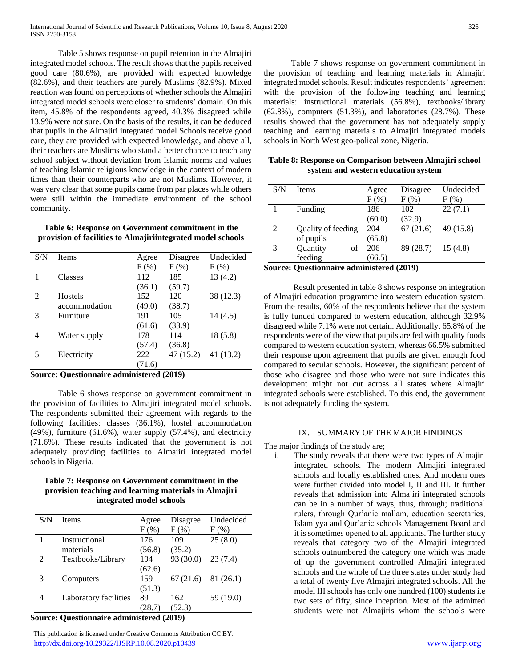Table 5 shows response on pupil retention in the Almajiri integrated model schools. The result shows that the pupils received good care (80.6%), are provided with expected knowledge (82.6%), and their teachers are purely Muslims (82.9%). Mixed reaction was found on perceptions of whether schools the Almajiri integrated model schools were closer to students' domain. On this item, 45.8% of the respondents agreed, 40.3% disagreed while 13.9% were not sure. On the basis of the results, it can be deduced that pupils in the Almajiri integrated model Schools receive good care, they are provided with expected knowledge, and above all, their teachers are Muslims who stand a better chance to teach any school subject without deviation from Islamic norms and values of teaching Islamic religious knowledge in the context of modern times than their counterparts who are not Muslims. However, it was very clear that some pupils came from par places while others were still within the immediate environment of the school community.

**Table 6: Response on Government commitment in the provision of facilities to Almajiriintegrated model schools**

| S/N            | <b>Items</b>  | Agree   | Disagree | Undecided |
|----------------|---------------|---------|----------|-----------|
|                |               | $F$ (%) | $F$ (%)  | $F$ (%)   |
|                | Classes       | 112     | 185      | 13(4.2)   |
|                |               | (36.1)  | (59.7)   |           |
| $\overline{2}$ | Hostels       | 152     | 120      | 38 (12.3) |
|                | accommodation | (49.0)  | (38.7)   |           |
| 3              | Furniture     | 191     | 105      | 14(4.5)   |
|                |               | (61.6)  | (33.9)   |           |
| 4              | Water supply  | 178     | 114      | 18(5.8)   |
|                |               | (57.4)  | (36.8)   |           |
| 5              | Electricity   | 222     | 47(15.2) | 41 (13.2) |
|                |               | (71.6)  |          |           |

**Source: Questionnaire administered (2019)**

 Table 6 shows response on government commitment in the provision of facilities to Almajiri integrated model schools. The respondents submitted their agreement with regards to the following facilities: classes (36.1%), hostel accommodation (49%), furniture (61.6%), water supply (57.4%), and electricity (71.6%). These results indicated that the government is not adequately providing facilities to Almajiri integrated model schools in Nigeria.

# **Table 7: Response on Government commitment in the provision teaching and learning materials in Almajiri integrated model schools**

| S/N | <b>Items</b>          | Agree   | Disagree  | Undecided |
|-----|-----------------------|---------|-----------|-----------|
|     |                       | $F(\%)$ | $F$ (%)   | $F$ (%)   |
|     | Instructional         | 176     | 109       | 25(8.0)   |
|     | materials             | (56.8)  | (35.2)    |           |
| 2   | Textbooks/Library     | 194     | 93 (30.0) | 23(7.4)   |
|     |                       | (62.6)  |           |           |
| 3   | Computers             | 159     | 67(21.6)  | 81(26.1)  |
|     |                       | (51.3)  |           |           |
| 4   | Laboratory facilities | 89      | 162       | 59 (19.0) |
|     |                       | (28.7)  | (52.3)    |           |

**Source: Questionnaire administered (2019)**

 This publication is licensed under Creative Commons Attribution CC BY. <http://dx.doi.org/10.29322/IJSRP.10.08.2020.p10439> [www.ijsrp.org](http://ijsrp.org/)

 Table 7 shows response on government commitment in the provision of teaching and learning materials in Almajiri integrated model schools. Result indicates respondents' agreement with the provision of the following teaching and learning materials: instructional materials (56.8%), textbooks/library  $(62.8\%)$ , computers  $(51.3\%)$ , and laboratories  $(28.7\%)$ . These results showed that the government has not adequately supply teaching and learning materials to Almajiri integrated models schools in North West geo-polical zone, Nigeria.

**Table 8: Response on Comparison between Almajiri school system and western education system**

| S/N | <b>Items</b>       | Agree   | Disagree                    | Undecided |
|-----|--------------------|---------|-----------------------------|-----------|
|     |                    | $F$ (%) | $F(\%)$                     | $F$ (%)   |
|     | Funding            | 186     | 102                         | 22(7.1)   |
|     |                    | (60.0)  | (32.9)                      |           |
| 2   | Quality of feeding | 204     | 67(21.6)                    | 49 (15.8) |
|     | of pupils          | (65.8)  |                             |           |
| 3   | Quantity<br>of     | 206     | 89 (28.7)                   | 15(4.8)   |
|     | feeding            | (66.5)  |                             |           |
|     | $\sim$ $\cdot$     | .       | $\mathbf{r}$ . $\mathbf{r}$ |           |

**Source: Questionnaire administered (2019)**

 Result presented in table 8 shows response on integration of Almajiri education programme into western education system. From the results, 60% of the respondents believe that the system is fully funded compared to western education, although 32.9% disagreed while 7.1% were not certain. Additionally, 65.8% of the respondents were of the view that pupils are fed with quality foods compared to western education system, whereas 66.5% submitted their response upon agreement that pupils are given enough food compared to secular schools. However, the significant percent of those who disagree and those who were not sure indicates this development might not cut across all states where Almajiri integrated schools were established. To this end, the government is not adequately funding the system.

# IX. SUMMARY OF THE MAJOR FINDINGS

The major findings of the study are;

i. The study reveals that there were two types of Almajiri integrated schools. The modern Almajiri integrated schools and locally established ones. And modern ones were further divided into model I, II and III. It further reveals that admission into Almajiri integrated schools can be in a number of ways, thus, through; traditional rulers, through Qur'anic mallam, education secretaries, Islamiyya and Qur'anic schools Management Board and it is sometimes opened to all applicants. The further study reveals that category two of the Almajiri integrated schools outnumbered the category one which was made of up the government controlled Almajiri integrated schools and the whole of the three states under study had a total of twenty five Almajiri integrated schools. All the model III schools has only one hundred (100) students i.e two sets of fifty, since inception. Most of the admitted students were not Almajiris whom the schools were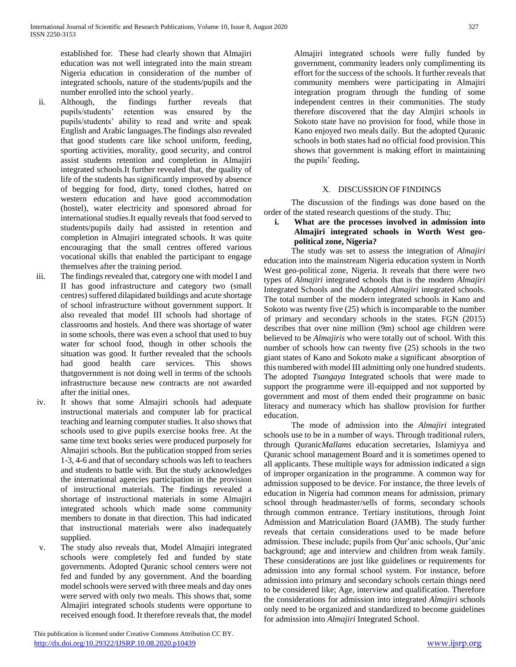established for. These had clearly shown that Almajiri education was not well integrated into the main stream Nigeria education in consideration of the number of integrated schools, nature of the students/pupils and the number enrolled into the school yearly.

- ii. Although, the findings further reveals that pupils/students' retention was ensured by the pupils/students' ability to read and write and speak English and Arabic languages.The findings also revealed that good students care like school uniform, feeding, sporting activities, morality, good security, and control assist students retention and completion in Almajiri integrated schools.It further revealed that, the quality of life of the students has significantly improved by absence of begging for food, dirty, toned clothes, hatred on western education and have good accommodation (hostel), water electricity and sponsored abroad for international studies.It equally reveals that food served to students/pupils daily had assisted in retention and completion in Almajiri integrated schools. It was quite encouraging that the small centres offered various vocational skills that enabled the participant to engage themselves after the training period.
- iii. The findings revealed that, category one with model I and II has good infrastructure and category two (small centres) suffered dilapidated buildings and acute shortage of school infrastructure without government support. It also revealed that model III schools had shortage of classrooms and hostels. And there was shortage of water in some schools, there was even a school that used to buy water for school food, though in other schools the situation was good. It further revealed that the schools had good health care services. This shows thatgovernment is not doing well in terms of the schools infrastructure because new contracts are not awarded after the initial ones.
- iv. It shows that some Almajiri schools had adequate instructional materials and computer lab for practical teaching and learning computer studies. It also shows that schools used to give pupils exercise books free. At the same time text books series were produced purposely for Almajiri schools. But the publication stopped from series 1-3, 4-6 and that of secondary schools was left to teachers and students to battle with. But the study acknowledges the international agencies participation in the provision of instructional materials. The findings revealed a shortage of instructional materials in some Almajiri integrated schools which made some community members to donate in that direction. This had indicated that instructional materials were also inadequately supplied.
- v. The study also reveals that, Model Almajiri integrated schools were completely fed and funded by state governments. Adopted Quranic school centers were not fed and funded by any government. And the boarding model schools were served with three meals and day ones were served with only two meals. This shows that, some Almajiri integrated schools students were opportune to received enough food. It therefore reveals that, the model

 This publication is licensed under Creative Commons Attribution CC BY. <http://dx.doi.org/10.29322/IJSRP.10.08.2020.p10439> [www.ijsrp.org](http://ijsrp.org/)

Almajiri integrated schools were fully funded by government, community leaders only complimenting its effort for the success of the schools. It further reveals that community members were participating in Almajiri integration program through the funding of some independent centres in their communities. The study therefore discovered that the day Almjiri schools in Sokoto state have no provision for food, while those in Kano enjoyed two meals daily. But the adopted Quranic schools in both states had no official food provision.This shows that government is making effort in maintaining the pupils' feeding**.**

# X. DISCUSSION OF FINDINGS

 The discussion of the findings was done based on the order of the stated research questions of the study. Thu;

# **i. What are the processes involved in admission into Almajiri integrated schools in Worth West geopolitical zone, Nigeria?**

 The study was set to assess the integration of *Almajiri* education into the mainstream Nigeria education system in North West geo-political zone, Nigeria. It reveals that there were two types of *Almajiri* integrated schools that is the modern *Almajiri* Integrated Schools and the Adopted *Almajiri* integrated schools. The total number of the modern integrated schools in Kano and Sokoto was twenty five (25) which is incomparable to the number of primary and secondary schools in the states. FGN (2015) describes that over nine million (9m) school age children were believed to be *Almajiris* who were totally out of school. With this number of schools how can twenty five (25) schools in the two giant states of Kano and Sokoto make a significant absorption of this numbered with model III admitting only one hundred students. The adopted *Tsangaya* Integrated schools that were made to support the programme were ill-equipped and not supported by government and most of them ended their programme on basic literacy and numeracy which has shallow provision for further education.

 The mode of admission into the *Almajiri* integrated schools use to be in a number of ways. Through traditional rulers, through Quranic*Mallams* education secretaries, Islamiyya and Quranic school management Board and it is sometimes opened to all applicants. These multiple ways for admission indicated a sign of improper organization in the programme. A common way for admission supposed to be device. For instance, the three levels of education in Nigeria had common means for admission, primary school through headmaster/sells of forms, secondary schools through common entrance. Tertiary institutions, through Joint Admission and Matriculation Board (JAMB). The study further reveals that certain considerations used to be made before admission. These include; pupils from Qur'anic schools, Qur'anic background; age and interview and children from weak family. These considerations are just like guidelines or requirements for admission into any formal school system. For instance, before admission into primary and secondary schools certain things need to be considered like; Age, interview and qualification. Therefore the considerations for admission into integrated *Almajiri* schools only need to be organized and standardized to become guidelines for admission into *Almajiri* Integrated School.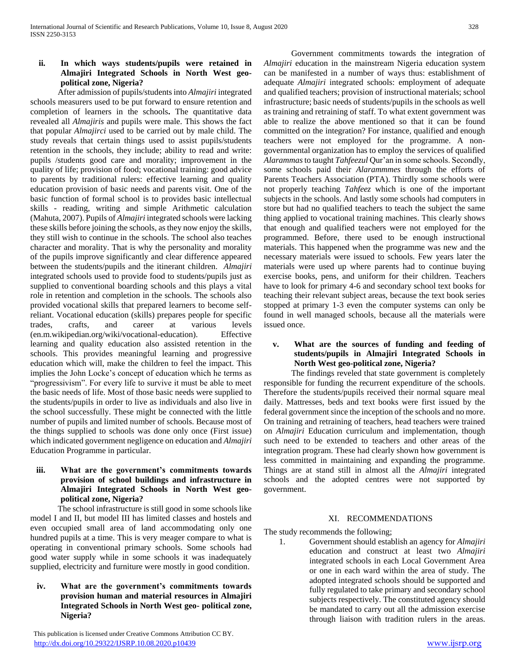# **ii. In which ways students/pupils were retained in Almajiri Integrated Schools in North West geopolitical zone, Nigeria?**

 After admission of pupils/students into *Almajiri* integrated schools measurers used to be put forward to ensure retention and completion of learners in the schools**.** The quantitative data revealed all *Almajiris* and pupils were male. This shows the fact that popular *Almajirci* used to be carried out by male child. The study reveals that certain things used to assist pupils/students retention in the schools, they include; ability to read and write: pupils /students good care and morality; improvement in the quality of life; provision of food; vocational training: good advice to parents by traditional rulers: effective learning and quality education provision of basic needs and parents visit. One of the basic function of formal school is to provides basic intellectual skills - reading, writing and simple Arithmetic calculation (Mahuta, 2007). Pupils of *Almajiri* integrated schools were lacking these skills before joining the schools, as they now enjoy the skills, they still wish to continue in the schools. The school also teaches character and morality. That is why the personality and morality of the pupils improve significantly and clear difference appeared between the students/pupils and the itinerant children. *Almajiri* integrated schools used to provide food to students/pupils just as supplied to conventional boarding schools and this plays a vital role in retention and completion in the schools. The schools also provided vocational skills that prepared learners to become selfreliant. Vocational education (skills) prepares people for specific trades, crafts, and career at various levels (en.m.wikipedian.org/wiki/vocational-education). Effective learning and quality education also assisted retention in the schools. This provides meaningful learning and progressive education which will, make the children to feel the impact. This implies the John Locke's concept of education which he terms as "progressivism". For every life to survive it must be able to meet the basic needs of life. Most of those basic needs were supplied to the students/pupils in order to live as individuals and also live in the school successfully. These might be connected with the little number of pupils and limited number of schools. Because most of the things supplied to schools was done only once (First issue) which indicated government negligence on education and *Almajiri* Education Programme in particular.

# **iii. What are the government's commitments towards provision of school buildings and infrastructure in Almajiri Integrated Schools in North West geopolitical zone, Nigeria?**

 The school infrastructure is still good in some schools like model I and II, but model III has limited classes and hostels and even occupied small area of land accommodating only one hundred pupils at a time. This is very meager compare to what is operating in conventional primary schools. Some schools had good water supply while in some schools it was inadequately supplied, electricity and furniture were mostly in good condition.

# **iv. What are the government's commitments towards provision human and material resources in Almajiri Integrated Schools in North West geo- political zone, Nigeria?**

 This publication is licensed under Creative Commons Attribution CC BY. http://dx.doi<u>.org/10.29322/IJSRP.10.08.2020.p10439</u> [www.ijsrp.org](http://ijsrp.org/)

 Government commitments towards the integration of *Almajiri* education in the mainstream Nigeria education system can be manifested in a number of ways thus: establishment of adequate *Almajiri* integrated schools: employment of adequate and qualified teachers; provision of instructional materials; school infrastructure; basic needs of students/pupils in the schools as well as training and retraining of staff. To what extent government was able to realize the above mentioned so that it can be found committed on the integration? For instance, qualified and enough teachers were not employed for the programme. A nongovernmental organization has to employ the services of qualified *Alarammas*to taught *Tahfeezul* Qur'an in some schools. Secondly, some schools paid their *Alarammmes* through the efforts of Parents Teachers Association (PTA). Thirdly some schools were not properly teaching *Tahfeez* which is one of the important subjects in the schools. And lastly some schools had computers in store but had no qualified teachers to teach the subject the same thing applied to vocational training machines. This clearly shows that enough and qualified teachers were not employed for the programmed. Before, there used to be enough instructional materials. This happened when the programme was new and the necessary materials were issued to schools. Few years later the materials were used up where parents had to continue buying exercise books, pens, and uniform for their children. Teachers have to look for primary 4-6 and secondary school text books for teaching their relevant subject areas, because the text book series stopped at primary 1-3 even the computer systems can only be found in well managed schools, because all the materials were issued once.

# **v. What are the sources of funding and feeding of students/pupils in Almajiri Integrated Schools in North West geo-political zone, Nigeria?**

 The findings reveled that state government is completely responsible for funding the recurrent expenditure of the schools. Therefore the students/pupils received their normal square meal daily. Mattresses, beds and text books were first issued by the federal government since the inception of the schools and no more. On training and retraining of teachers, head teachers were trained on *Almajiri* Education curriculum and implementation, though such need to be extended to teachers and other areas of the integration program. These had clearly shown how government is less committed in maintaining and expanding the programme. Things are at stand still in almost all the *Almajiri* integrated schools and the adopted centres were not supported by government.

# XI. RECOMMENDATIONS

The study recommends the following;

1. Government should establish an agency for *Almajiri* education and construct at least two *Almajiri* integrated schools in each Local Government Area or one in each ward within the area of study. The adopted integrated schools should be supported and fully regulated to take primary and secondary school subjects respectively. The constituted agency should be mandated to carry out all the admission exercise through liaison with tradition rulers in the areas.